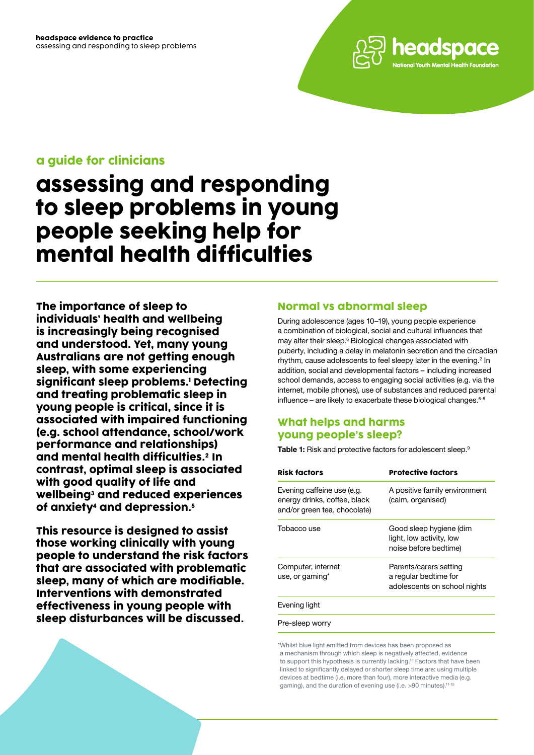

### a guide for clinicians

# assessing and responding to sleep problems in young people seeking help for mental health difficulties

The importance of sleep to individuals' health and wellbeing is increasingly being recognised and understood. Yet, many young Australians are not getting enough sleep, with some experiencing significant sleep problems.1 Detecting and treating problematic sleep in young people is critical, since it is associated with impaired functioning (e.g. school attendance, school/work performance and relationships) and mental health difficulties.2 In contrast, optimal sleep is associated with good quality of life and wellbeing<sup>3</sup> and reduced experiences of anxiety4 and depression.5

This resource is designed to assist those working clinically with young people to understand the risk factors that are associated with problematic sleep, many of which are modifiable. Interventions with demonstrated effectiveness in young people with sleep disturbances will be discussed.

### Normal vs abnormal sleep

During adolescence (ages 10–19), young people experience a combination of biological, social and cultural influences that may alter their sleep.<sup>6</sup> Biological changes associated with puberty, including a delay in melatonin secretion and the circadian rhythm, cause adolescents to feel sleepy later in the evening. $2$  In addition, social and developmental factors – including increased school demands, access to engaging social activities (e.g. via the internet, mobile phones), use of substances and reduced parental influence – are likely to exacerbate these biological changes. $6-8$ 

### What helps and harms young people's sleep?

**Table 1:** Risk and protective factors for adolescent sleep.<sup>9</sup>

| <b>Risk factors</b>                                                                        | <b>Protective factors</b>                                                       |
|--------------------------------------------------------------------------------------------|---------------------------------------------------------------------------------|
| Evening caffeine use (e.g.<br>energy drinks, coffee, black<br>and/or green tea, chocolate) | A positive family environment<br>(calm, organised)                              |
| Tobacco use                                                                                | Good sleep hygiene (dim<br>light, low activity, low<br>noise before bedtime)    |
| Computer, internet<br>use, or gaming*                                                      | Parents/carers setting<br>a regular bedtime for<br>adolescents on school nights |
| Evening light                                                                              |                                                                                 |
| Pre-sleep worry                                                                            |                                                                                 |

\*Whilst blue light emitted from devices has been proposed as a mechanism through which sleep is negatively affected, evidence to support this hypothesis is currently lacking.<sup>10</sup> Factors that have been linked to significantly delayed or shorter sleep time are: using multiple devices at bedtime (i.e. more than four), more interactive media (e.g. gaming), and the duration of evening use (i.e. >90 minutes).11-15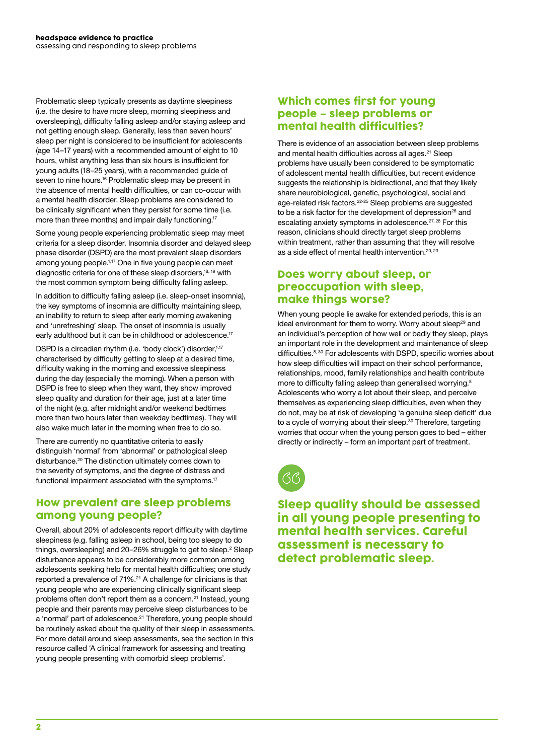Problematic sleep typically presents as daytime sleepiness (i.e. the desire to have more sleep, morning sleepiness and oversleeping), difficulty falling asleep and/or staying asleep and not getting enough sleep. Generally, less than seven hours' sleep per night is considered to be insufficient for adolescents (age 14–17 years) with a recommended amount of eight to 10 hours, whilst anything less than six hours is insufficient for young adults (18–25 years), with a recommended guide of seven to nine hours.<sup>16</sup> Problematic sleep may be present in the absence of mental health difficulties, or can co-occur with a mental health disorder. Sleep problems are considered to be clinically significant when they persist for some time (i.e. more than three months) and impair daily functioning.<sup>17</sup>

Some young people experiencing problematic sleep may meet criteria for a sleep disorder. Insomnia disorder and delayed sleep phase disorder (DSPD) are the most prevalent sleep disorders among young people.1,17 One in five young people can meet diagnostic criteria for one of these sleep disorders,18, 19 with the most common symptom being difficulty falling asleep.

In addition to difficulty falling asleep (i.e. sleep-onset insomnia), the key symptoms of insomnia are difficulty maintaining sleep, an inability to return to sleep after early morning awakening and 'unrefreshing' sleep. The onset of insomnia is usually early adulthood but it can be in childhood or adolescence.<sup>17</sup>

DSPD is a circadian rhythm (i.e. 'body clock') disorder,<sup>1,17</sup> characterised by difficulty getting to sleep at a desired time, difficulty waking in the morning and excessive sleepiness during the day (especially the morning). When a person with DSPD is free to sleep when they want, they show improved sleep quality and duration for their age, just at a later time of the night (e.g. after midnight and/or weekend bedtimes more than two hours later than weekday bedtimes). They will also wake much later in the morning when free to do so.

There are currently no quantitative criteria to easily distinguish 'normal' from 'abnormal' or pathological sleep disturbance.<sup>20</sup> The distinction ultimately comes down to the severity of symptoms, and the degree of distress and functional impairment associated with the symptoms.<sup>17</sup>

### How prevalent are sleep problems among young people?

Overall, about 20% of adolescents report difficulty with daytime sleepiness (e.g. falling asleep in school, being too sleepy to do things, oversleeping) and 20–26% struggle to get to sleep.<sup>2</sup> Sleep disturbance appears to be considerably more common among adolescents seeking help for mental health difficulties; one study reported a prevalence of 71%.<sup>21</sup> A challenge for clinicians is that young people who are experiencing clinically significant sleep problems often don't report them as a concern.<sup>21</sup> Instead, young people and their parents may perceive sleep disturbances to be a 'normal' part of adolescence.<sup>21</sup> Therefore, young people should be routinely asked about the quality of their sleep in assessments. For more detail around sleep assessments, see the section in this resource called 'A clinical framework for assessing and treating young people presenting with comorbid sleep problems'.

### Which comes first for young people – sleep problems or mental health difficulties?

There is evidence of an association between sleep problems and mental health difficulties across all ages.<sup>21</sup> Sleep problems have usually been considered to be symptomatic of adolescent mental health difficulties, but recent evidence suggests the relationship is bidirectional, and that they likely share neurobiological, genetic, psychological, social and age-related risk factors.<sup>22-25</sup> Sleep problems are suggested to be a risk factor for the development of depression<sup>26</sup> and escalating anxiety symptoms in adolescence.<sup>27, 28</sup> For this reason, clinicians should directly target sleep problems within treatment, rather than assuming that they will resolve as a side effect of mental health intervention.<sup>20, 23</sup>

### Does worry about sleep, or preoccupation with sleep, make things worse?

When young people lie awake for extended periods, this is an ideal environment for them to worry. Worry about sleep<sup>29</sup> and an individual's perception of how well or badly they sleep, plays an important role in the development and maintenance of sleep difficulties.<sup>8, 30</sup> For adolescents with DSPD, specific worries about how sleep difficulties will impact on their school performance, relationships, mood, family relationships and health contribute more to difficulty falling asleep than generalised worrying.<sup>8</sup> Adolescents who worry a lot about their sleep, and perceive themselves as experiencing sleep difficulties, even when they do not, may be at risk of developing 'a genuine sleep deficit' due to a cycle of worrying about their sleep.<sup>30</sup> Therefore, targeting worries that occur when the young person goes to bed – either directly or indirectly – form an important part of treatment.



Sleep quality should be assessed in all young people presenting to mental health services. Careful assessment is necessary to detect problematic sleep.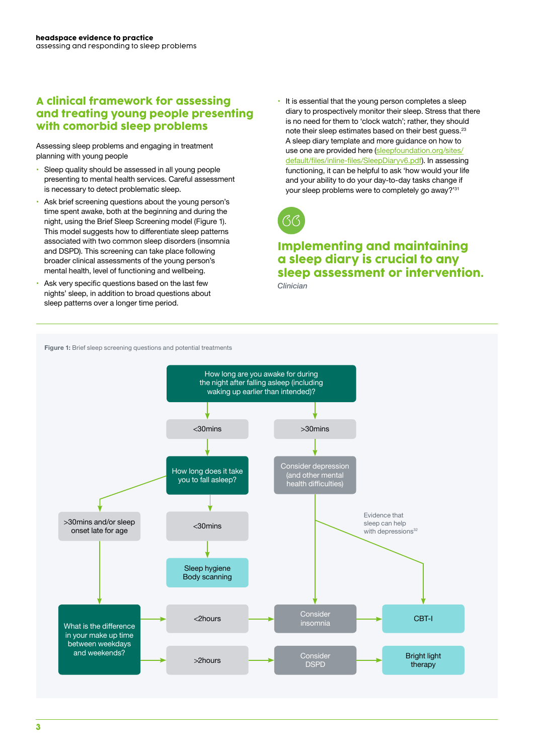### A clinical framework for assessing and treating young people presenting with comorbid sleep problems

Assessing sleep problems and engaging in treatment planning with young people

- Sleep quality should be assessed in all young people presenting to mental health services. Careful assessment is necessary to detect problematic sleep.
- Ask brief screening questions about the young person's time spent awake, both at the beginning and during the night, using the Brief Sleep Screening model (Figure 1). This model suggests how to differentiate sleep patterns associated with two common sleep disorders (insomnia and DSPD). This screening can take place following broader clinical assessments of the young person's mental health, level of functioning and wellbeing.
- Ask very specific questions based on the last few nights' sleep, in addition to broad questions about sleep patterns over a longer time period.

• It is essential that the young person completes a sleep diary to prospectively monitor their sleep. Stress that there is no need for them to 'clock watch'; rather, they should note their sleep estimates based on their best quess.<sup>23</sup> A sleep diary template and more guidance on how to use one are provided here ([sleepfoundation.org/sites/](http://sleepfoundation.org/sites/default/files/inline-files/SleepDiaryv6.pdf) [default/files/inline-files/SleepDiaryv6.pdf](http://sleepfoundation.org/sites/default/files/inline-files/SleepDiaryv6.pdf)). In assessing functioning, it can be helpful to ask 'how would your life and your ability to do your day-to-day tasks change if your sleep problems were to completely go away?'<sup>31</sup>



## Implementing and maintaining a sleep diary is crucial to any sleep assessment or intervention.

*Clinician*

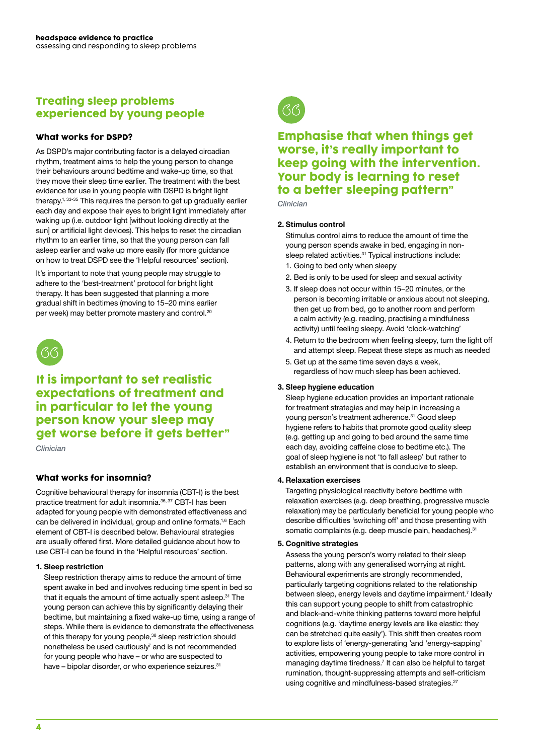### Treating sleep problems experienced by young people

#### What works for DSPD?

As DSPD's major contributing factor is a delayed circadian rhythm, treatment aims to help the young person to change their behaviours around bedtime and wake-up time, so that they move their sleep time earlier. The treatment with the best evidence for use in young people with DSPD is bright light therapy.<sup>1, 33-35</sup> This requires the person to get up gradually earlier each day and expose their eyes to bright light immediately after waking up (i.e. outdoor light [without looking directly at the sun] or artificial light devices). This helps to reset the circadian rhythm to an earlier time, so that the young person can fall asleep earlier and wake up more easily (for more guidance on how to treat DSPD see the 'Helpful resources' section).

It's important to note that young people may struggle to adhere to the 'best-treatment' protocol for bright light therapy. It has been suggested that planning a more gradual shift in bedtimes (moving to 15–20 mins earlier per week) may better promote mastery and control.<sup>20</sup>



### It is important to set realistic expectations of treatment and in particular to let the young person know your sleep may get worse before it gets better"

*Clinician* 

### What works for insomnia?

Cognitive behavioural therapy for insomnia (CBT-I) is the best practice treatment for adult insomnia.36, 37 CBT-I has been adapted for young people with demonstrated effectiveness and can be delivered in individual, group and online formats.1,6 Each element of CBT-I is described below. Behavioural strategies are usually offered first. More detailed guidance about how to use CBT-I can be found in the 'Helpful resources' section.

#### **1. Sleep restriction**

Sleep restriction therapy aims to reduce the amount of time spent awake in bed and involves reducing time spent in bed so that it equals the amount of time actually spent asleep.<sup>31</sup> The young person can achieve this by significantly delaying their bedtime, but maintaining a fixed wake-up time, using a range of steps. While there is evidence to demonstrate the effectiveness of this therapy for young people,<sup>38</sup> sleep restriction should nonetheless be used cautiously<sup>7</sup> and is not recommended for young people who have – or who are suspected to have – bipolar disorder, or who experience seizures.<sup>31</sup>



### Emphasise that when things get worse, it's really important to keep going with the intervention. Your body is learning to reset to a better sleeping pattern"

*Clinician*

#### **2. Stimulus control**

Stimulus control aims to reduce the amount of time the young person spends awake in bed, engaging in nonsleep related activities.<sup>31</sup> Typical instructions include:

- 1. Going to bed only when sleepy
- 2. Bed is only to be used for sleep and sexual activity
- 3. If sleep does not occur within 15–20 minutes, or the person is becoming irritable or anxious about not sleeping, then get up from bed, go to another room and perform a calm activity (e.g. reading, practising a mindfulness activity) until feeling sleepy. Avoid 'clock-watching'
- 4. Return to the bedroom when feeling sleepy, turn the light off and attempt sleep. Repeat these steps as much as needed
- 5. Get up at the same time seven days a week, regardless of how much sleep has been achieved.

#### **3. Sleep hygiene education**

Sleep hygiene education provides an important rationale for treatment strategies and may help in increasing a young person's treatment adherence.<sup>31</sup> Good sleep hygiene refers to habits that promote good quality sleep (e.g. getting up and going to bed around the same time each day, avoiding caffeine close to bedtime etc.). The goal of sleep hygiene is not 'to fall asleep' but rather to establish an environment that is conducive to sleep.

#### **4. Relaxation exercises**

Targeting physiological reactivity before bedtime with relaxation exercises (e.g. deep breathing, progressive muscle relaxation) may be particularly beneficial for young people who describe difficulties 'switching off' and those presenting with somatic complaints (e.g. deep muscle pain, headaches).<sup>31</sup>

#### **5. Cognitive strategies**

Assess the young person's worry related to their sleep patterns, along with any generalised worrying at night. Behavioural experiments are strongly recommended, particularly targeting cognitions related to the relationship between sleep, energy levels and daytime impairment.<sup>7</sup> Ideally this can support young people to shift from catastrophic and black-and-white thinking patterns toward more helpful cognitions (e.g. 'daytime energy levels are like elastic: they can be stretched quite easily'). This shift then creates room to explore lists of 'energy-generating 'and 'energy-sapping' activities, empowering young people to take more control in managing daytime tiredness.<sup>7</sup> It can also be helpful to target rumination, thought-suppressing attempts and self-criticism using cognitive and mindfulness-based strategies.<sup>27</sup>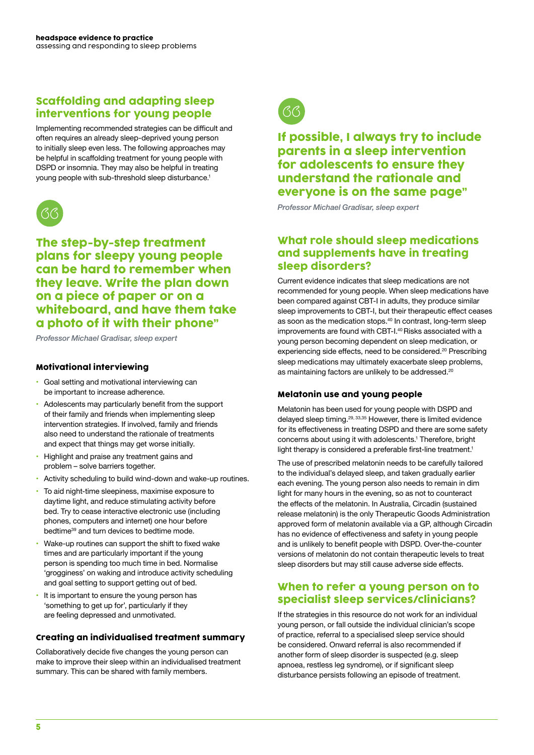### Scaffolding and adapting sleep interventions for young people

Implementing recommended strategies can be difficult and often requires an already sleep-deprived young person to initially sleep even less. The following approaches may be helpful in scaffolding treatment for young people with DSPD or insomnia. They may also be helpful in treating young people with sub-threshold sleep disturbance.<sup>1</sup>



The step-by-step treatment plans for sleepy young people can be hard to remember when they leave. Write the plan down on a piece of paper or on a whiteboard, and have them take a photo of it with their phone"

*Professor Michael Gradisar, sleep expert* 

### Motivational interviewing

- Goal setting and motivational interviewing can be important to increase adherence.
- Adolescents may particularly benefit from the support of their family and friends when implementing sleep intervention strategies. If involved, family and friends also need to understand the rationale of treatments and expect that things may get worse initially.
- Highlight and praise any treatment gains and problem – solve barriers together.
- Activity scheduling to build wind-down and wake-up routines.
- To aid night-time sleepiness, maximise exposure to daytime light, and reduce stimulating activity before bed. Try to cease interactive electronic use (including phones, computers and internet) one hour before bedtime<sup>39</sup> and turn devices to bedtime mode.
- Wake-up routines can support the shift to fixed wake times and are particularly important if the young person is spending too much time in bed. Normalise 'grogginess' on waking and introduce activity scheduling and goal setting to support getting out of bed.
- It is important to ensure the young person has 'something to get up for', particularly if they are feeling depressed and unmotivated.

#### Creating an individualised treatment summary

Collaboratively decide five changes the young person can make to improve their sleep within an individualised treatment summary. This can be shared with family members.



### If possible, I always try to include parents in a sleep intervention for adolescents to ensure they understand the rationale and everyone is on the same page"

*Professor Michael Gradisar, sleep expert* 

### What role should sleep medications and supplements have in treating sleep disorders?

Current evidence indicates that sleep medications are not recommended for young people. When sleep medications have been compared against CBT-I in adults, they produce similar sleep improvements to CBT-I, but their therapeutic effect ceases as soon as the medication stops.<sup>40</sup> In contrast, long-term sleep improvements are found with CBT-I.<sup>40</sup> Risks associated with a young person becoming dependent on sleep medication, or experiencing side effects, need to be considered.<sup>20</sup> Prescribing sleep medications may ultimately exacerbate sleep problems, as maintaining factors are unlikely to be addressed.<sup>20</sup>

#### Melatonin use and young people

Melatonin has been used for young people with DSPD and delayed sleep timing.29, 33,35 However, there is limited evidence for its effectiveness in treating DSPD and there are some safety concerns about using it with adolescents.<sup>1</sup> Therefore, bright light therapy is considered a preferable first-line treatment.<sup>1</sup>

The use of prescribed melatonin needs to be carefully tailored to the individual's delayed sleep, and taken gradually earlier each evening. The young person also needs to remain in dim light for many hours in the evening, so as not to counteract the effects of the melatonin. In Australia, Circadin (sustained release melatonin) is the only Therapeutic Goods Administration approved form of melatonin available via a GP, although Circadin has no evidence of effectiveness and safety in young people and is unlikely to benefit people with DSPD. Over-the-counter versions of melatonin do not contain therapeutic levels to treat sleep disorders but may still cause adverse side effects.

### When to refer a young person on to specialist sleep services/clinicians?

If the strategies in this resource do not work for an individual young person, or fall outside the individual clinician's scope of practice, referral to a specialised sleep service should be considered. Onward referral is also recommended if another form of sleep disorder is suspected (e.g. sleep apnoea, restless leg syndrome), or if significant sleep disturbance persists following an episode of treatment.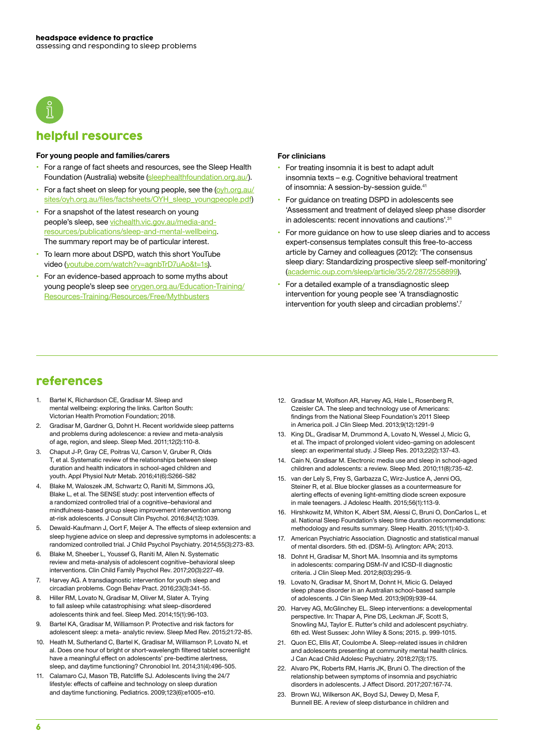

### helpful resources

#### **For young people and families/carers**

- For a range of fact sheets and resources, see the Sleep Health Foundation (Australia) website [\(sleephealthfoundation.org.au/\)](http://sleephealthfoundation.org.au/).
- For a fact sheet on sleep for young people, see the [\(oyh.org.au/](http://oyh.org.au/sites/oyh.org.au/files/factsheets/OYH_sleep_youngpeople.pdf) [sites/oyh.org.au/files/factsheets/OYH\\_sleep\\_youngpeople.pdf](http://oyh.org.au/sites/oyh.org.au/files/factsheets/OYH_sleep_youngpeople.pdf))
- For a snapshot of the latest research on young people's sleep, see [vichealth.vic.gov.au/media-and](http://vichealth.vic.gov.au/media-and-resources/publications/sleep-and-mental-wellbeing)[resources/publications/sleep-and-mental-wellbeing.](http://vichealth.vic.gov.au/media-and-resources/publications/sleep-and-mental-wellbeing) The summary report may be of particular interest.
- To learn more about DSPD, watch this short YouTube video ([youtube.com/watch?v=agnbTrD7uAo&t=1s\)](http://youtube.com/watch?v=agnbTrD7uAo&t=1s).
- For an evidence-based approach to some myths about young people's sleep see [orygen.org.au/Education-Training/](http://orygen.org.au/Education-Training/Resources-Training/Resources/Free/Mythbusters) [Resources-Training/Resources/Free/Mythbusters](http://orygen.org.au/Education-Training/Resources-Training/Resources/Free/Mythbusters)

#### **For clinicians**

- For treating insomnia it is best to adapt adult insomnia texts – e.g. Cognitive behavioral treatment of insomnia: A session-by-session guide.<sup>41</sup>
- For guidance on treating DSPD in adolescents see 'Assessment and treatment of delayed sleep phase disorder in adolescents: recent innovations and cautions'.<sup>31</sup>
- For more guidance on how to use sleep diaries and to access expert-consensus templates consult this free-to-access article by Carney and colleagues (2012): 'The consensus sleep diary: Standardizing prospective sleep self-monitoring' (academic.oup.com/sleep/article/35/2/287/
- For a detailed example of a transdiagnostic sleep intervention for young people see 'A transdiagnostic intervention for youth sleep and circadian problems'.<sup>7</sup>

### references

- 1. Bartel K, Richardson CE, Gradisar M. Sleep and mental wellbeing: exploring the links. Carlton South: Victorian Health Promotion Foundation; 2018.
- 2. Gradisar M, Gardner G, Dohnt H. Recent worldwide sleep patterns and problems during adolescence: a review and meta-analysis of age, region, and sleep. Sleep Med. 2011;12(2):110-8.
- 3. Chaput J-P, Gray CE, Poitras VJ, Carson V, Gruber R, Olds T, et al. Systematic review of the relationships between sleep duration and health indicators in school-aged children and youth. Appl Physiol Nutr Metab. 2016;41(6):S266-S82
- 4. Blake M, Waloszek JM, Schwartz O, Raniti M, Simmons JG, Blake L, et al. The SENSE study: post intervention effects of a randomized controlled trial of a cognitive–behavioral and mindfulness-based group sleep improvement intervention among at-risk adolescents. J Consult Clin Psychol. 2016;84(12):1039.
- 5. Dewald-Kaufmann J, Oort F, Meijer A. The effects of sleep extension and sleep hygiene advice on sleep and depressive symptoms in adolescents: a randomized controlled trial. J Child Psychol Psychiatry. 2014;55(3):273-83.
- 6. Blake M, Sheeber L, Youssef G, Raniti M, Allen N. Systematic review and meta-analysis of adolescent cognitive–behavioral sleep interventions. Clin Child Family Psychol Rev. 2017;20(3):227-49.
- 7. Harvey AG. A transdiagnostic intervention for youth sleep and circadian problems. Cogn Behav Pract. 2016;23(3):341-55.
- 8. Hiller RM, Lovato N, Gradisar M, Oliver M, Slater A. Trying to fall asleep while catastrophising: what sleep-disordered adolescents think and feel. Sleep Med. 2014;15(1):96-103.
- 9. Bartel KA, Gradisar M, Williamson P. Protective and risk factors for adolescent sleep: a meta- analytic review. Sleep Med Rev. 2015;21:72-85.
- 10. Heath M, Sutherland C, Bartel K, Gradisar M, Williamson P, Lovato N, et al. Does one hour of bright or short-wavelength filtered tablet screenlight have a meaningful effect on adolescents' pre-bedtime alertness. sleep, and daytime functioning? Chronobiol Int. 2014;31(4):496-505.
- 11. Calamaro CJ, Mason TB, Ratcliffe SJ. Adolescents living the 24/7 lifestyle: effects of caffeine and technology on sleep duration and daytime functioning. Pediatrics. 2009;123(6):e1005-e10.
- 12. Gradisar M, Wolfson AR, Harvey AG, Hale L, Rosenberg R, Czeisler CA. The sleep and technology use of Americans: findings from the National Sleep Foundation's 2011 Sleep in America poll. J Clin Sleep Med. 2013;9(12):1291-9
- 13. King DL, Gradisar M, Drummond A, Lovato N, Wessel J, Micic G, et al. The impact of prolonged violent video-gaming on adolescent sleep: an experimental study. J Sleep Res. 2013;22(2):137-43.
- 14. Cain N, Gradisar M. Electronic media use and sleep in school-aged children and adolescents: a review. Sleep Med. 2010;11(8):735-42.
- 15. van der Lely S, Frey S, Garbazza C, Wirz-Justice A, Jenni OG, Steiner R, et al. Blue blocker glasses as a countermeasure for alerting effects of evening light-emitting diode screen exposure in male teenagers. J Adolesc Health. 2015;56(1):113-9.
- 16. Hirshkowitz M, Whiton K, Albert SM, Alessi C, Bruni O, DonCarlos L, et al. National Sleep Foundation's sleep time duration recommendations: methodology and results summary. Sleep Health. 2015;1(1):40-3.
- 17. American Psychiatric Association. Diagnostic and statistical manual of mental disorders. 5th ed. (DSM-5). Arlington: APA; 2013.
- 18. Dohnt H, Gradisar M, Short MA. Insomnia and its symptoms in adolescents: comparing DSM-IV and ICSD-II diagnostic criteria. J Clin Sleep Med. 2012;8(03):295-9.
- 19. Lovato N, Gradisar M, Short M, Dohnt H, Micic G. Delayed sleep phase disorder in an Australian school-based sample of adolescents. J Clin Sleep Med. 2013;9(09):939-44.
- 20. Harvey AG, McGlinchey EL. Sleep interventions: a developmental perspective. In: Thapar A, Pine DS, Leckman JF, Scott S, Snowling MJ, Taylor E. Rutter's child and adolescent psychiatry. 6th ed. West Sussex: John Wiley & Sons; 2015. p. 999-1015.
- 21. Quon EC, Ellis AT, Coulombe A. Sleep-related issues in children and adolescents presenting at community mental health clinics. J Can Acad Child Adolesc Psychiatry. 2018;27(3):175.
- 22. Alvaro PK, Roberts RM, Harris JK, Bruni O. The direction of the relationship between symptoms of insomnia and psychiatric disorders in adolescents. J Affect Disord. 2017;207:167-74.
- 23. Brown WJ, Wilkerson AK, Boyd SJ, Dewey D, Mesa F, Bunnell BE. A review of sleep disturbance in children and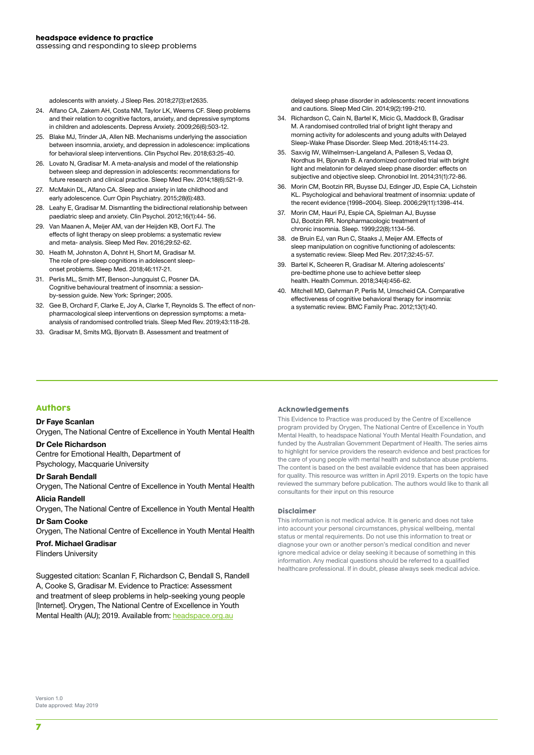adolescents with anxiety. J Sleep Res. 2018;27(3):e12635.

- 24. Alfano CA, Zakem AH, Costa NM, Taylor LK, Weems CF. Sleep problems and their relation to cognitive factors, anxiety, and depressive symptoms in children and adolescents. Depress Anxiety. 2009;26(6):503-12.
- 25. Blake MJ, Trinder JA, Allen NB. Mechanisms underlying the association between insomnia, anxiety, and depression in adolescence: implications for behavioral sleep interventions. Clin Psychol Rev. 2018;63:25-40.
- 26. Lovato N, Gradisar M. A meta-analysis and model of the relationship between sleep and depression in adolescents: recommendations for future research and clinical practice. Sleep Med Rev. 2014;18(6):521-9.
- 27. McMakin DL, Alfano CA. Sleep and anxiety in late childhood and early adolescence. Curr Opin Psychiatry. 2015;28(6):483.
- 28. Leahy E, Gradisar M. Dismantling the bidirectional relationship between paediatric sleep and anxiety. Clin Psychol. 2012;16(1):44- 56.
- 29. Van Maanen A, Meijer AM, van der Heijden KB, Oort FJ. The effects of light therapy on sleep problems: a systematic review and meta- analysis. Sleep Med Rev. 2016;29:52-62.
- 30. Heath M, Johnston A, Dohnt H, Short M, Gradisar M. The role of pre-sleep cognitions in adolescent sleeponset problems. Sleep Med. 2018;46:117-21.
- 31. Perlis ML, Smith MT, Benson-Jungquist C, Posner DA. Cognitive behavioural treatment of insomnia: a sessionby-session guide. New York: Springer; 2005.
- 32. Gee B, Orchard F, Clarke E, Joy A, Clarke T, Reynolds S. The effect of nonpharmacological sleep interventions on depression symptoms: a metaanalysis of randomised controlled trials. Sleep Med Rev. 2019;43:118-28.
- 33. Gradisar M, Smits MG, Bjorvatn B. Assessment and treatment of

delayed sleep phase disorder in adolescents: recent innovations and cautions. Sleep Med Clin. 2014;9(2):199-210.

- 34. Richardson C, Cain N, Bartel K, Micic G, Maddock B, Gradisar M. A randomised controlled trial of bright light therapy and morning activity for adolescents and young adults with Delayed Sleep-Wake Phase Disorder. Sleep Med. 2018;45:114-23.
- 35. Saxvig IW, Wilhelmsen-Langeland A, Pallesen S, Vedaa Ø, Nordhus IH, Bjorvatn B. A randomized controlled trial with bright light and melatonin for delayed sleep phase disorder: effects on subjective and objective sleep. Chronobiol Int. 2014;31(1):72-86.
- 36. Morin CM, Bootzin RR, Buysse DJ, Edinger JD, Espie CA, Lichstein KL. Psychological and behavioral treatment of insomnia: update of the recent evidence (1998–2004). Sleep. 2006;29(11):1398-414.
- 37. Morin CM, Hauri PJ, Espie CA, Spielman AJ, Buysse DJ, Bootzin RR. Nonpharmacologic treatment of chronic insomnia. Sleep. 1999;22(8):1134-56.
- 38. de Bruin EJ, van Run C, Staaks J, Meijer AM. Effects of sleep manipulation on cognitive functioning of adolescents: a systematic review. Sleep Med Rev. 2017;32:45-57.
- 39. Bartel K, Scheeren R, Gradisar M. Altering adolescents' pre-bedtime phone use to achieve better sleep health. Health Commun. 2018;34(4):456-62.
- 40. Mitchell MD, Gehrman P, Perlis M, Umscheid CA. Comparative effectiveness of cognitive behavioral therapy for insomnia: a systematic review. BMC Family Prac. 2012;13(1):40.

#### Authors

#### **Dr Faye Scanlan**

Orygen, The National Centre of Excellence in Youth Mental Health

#### **Dr Cele Richardson**

Centre for Emotional Health, Department of Psychology, Macquarie University

#### **Dr Sarah Bendall**

Orygen, The National Centre of Excellence in Youth Mental Health **Alicia Randell** 

Orygen, The National Centre of Excellence in Youth Mental Health

#### **Dr Sam Cooke**

Orygen, The National Centre of Excellence in Youth Mental Health

#### **Prof. Michael Gradisar**

Flinders University

Suggested citation: Scanlan F, Richardson C, Bendall S, Randell A, Cooke S, Gradisar M. Evidence to Practice: Assessment and treatment of sleep problems in help-seeking young people [Internet]. Orygen, The National Centre of Excellence in Youth Mental Health (AU); 2019. Available from: [headspace.org.au](http://headspace.org.au)

#### Acknowledgements

This Evidence to Practice was produced by the Centre of Excellence program provided by Orygen, The National Centre of Excellence in Youth Mental Health, to headspace National Youth Mental Health Foundation, and funded by the Australian Government Department of Health. The series aims to highlight for service providers the research evidence and best practices for the care of young people with mental health and substance abuse problems. The content is based on the best available evidence that has been appraised for quality. This resource was written in April 2019. Experts on the topic have reviewed the summary before publication. The authors would like to thank all consultants for their input on this resource

#### Disclaimer

This information is not medical advice. It is generic and does not take into account your personal circumstances, physical wellbeing, mental status or mental requirements. Do not use this information to treat or diagnose your own or another person's medical condition and never ignore medical advice or delay seeking it because of something in this information. Any medical questions should be referred to a qualified healthcare professional. If in doubt, please always seek medical advice.